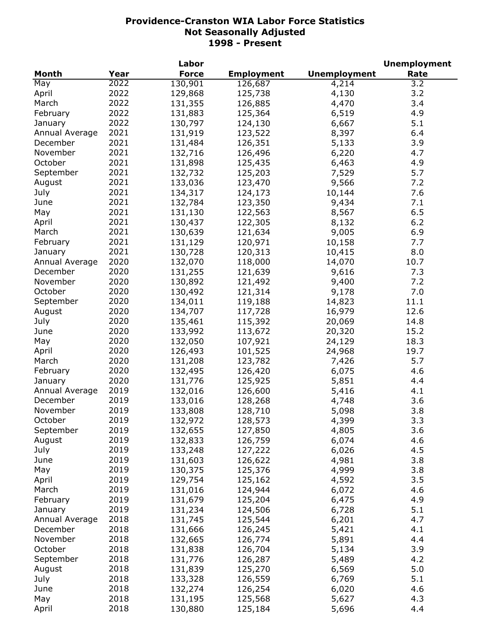| <b>Month</b><br><b>Force</b><br><b>Unemployment</b><br>Year<br><b>Employment</b><br>Rate<br>2022<br>130,901<br>4,214<br>3.2<br>May<br>126,687<br>2022<br>3.2<br>129,868<br>125,738<br>4,130<br>April<br>2022<br>3.4<br>March<br>131,355<br>126,885<br>4,470 |  |
|-------------------------------------------------------------------------------------------------------------------------------------------------------------------------------------------------------------------------------------------------------------|--|
|                                                                                                                                                                                                                                                             |  |
|                                                                                                                                                                                                                                                             |  |
|                                                                                                                                                                                                                                                             |  |
|                                                                                                                                                                                                                                                             |  |
| 2022<br>4.9<br>February<br>131,883<br>125,364<br>6,519                                                                                                                                                                                                      |  |
| 2022<br>5.1<br>130,797<br>124,130<br>6,667<br>January                                                                                                                                                                                                       |  |
| 2021<br>8,397<br>6.4<br>Annual Average<br>131,919<br>123,522                                                                                                                                                                                                |  |
| 2021<br>131,484<br>3.9<br>December<br>126,351<br>5,133                                                                                                                                                                                                      |  |
| 2021<br>November<br>132,716<br>126,496<br>6,220<br>4.7                                                                                                                                                                                                      |  |
| 2021<br>October<br>131,898<br>125,435<br>6,463<br>4.9                                                                                                                                                                                                       |  |
| 2021<br>5.7<br>132,732<br>125,203<br>7,529<br>September                                                                                                                                                                                                     |  |
| 2021<br>133,036<br>123,470<br>9,566<br>August<br>7.2                                                                                                                                                                                                        |  |
| 2021<br>134,317<br>124,173<br>7.6<br>July<br>10,144                                                                                                                                                                                                         |  |
| 2021<br>123,350<br>132,784<br>9,434<br>7.1<br>June                                                                                                                                                                                                          |  |
| 2021<br>6.5<br>131,130<br>122,563<br>8,567<br>May                                                                                                                                                                                                           |  |
| 2021<br>6.2<br>130,437<br>122,305<br>8,132<br>April                                                                                                                                                                                                         |  |
| 2021<br>121,634<br>9,005<br>6.9<br>March<br>130,639                                                                                                                                                                                                         |  |
| 2021<br>120,971<br>7.7<br>February<br>131,129<br>10,158                                                                                                                                                                                                     |  |
| 2021<br>8.0                                                                                                                                                                                                                                                 |  |
| 130,728<br>120,313<br>10,415<br>January<br>2020                                                                                                                                                                                                             |  |
| Annual Average<br>132,070<br>118,000<br>14,070<br>10.7                                                                                                                                                                                                      |  |
| 2020<br>December<br>131,255<br>121,639<br>9,616<br>7.3                                                                                                                                                                                                      |  |
| 2020<br>9,400<br>November<br>130,892<br>121,492<br>7.2                                                                                                                                                                                                      |  |
| 2020<br>October<br>130,492<br>9,178<br>121,314<br>7.0                                                                                                                                                                                                       |  |
| 2020<br>14,823<br>September<br>134,011<br>119,188<br>11.1                                                                                                                                                                                                   |  |
| 2020<br>134,707<br>117,728<br>16,979<br>12.6<br>August                                                                                                                                                                                                      |  |
| 2020<br>135,461<br>115,392<br>20,069<br>14.8<br>July                                                                                                                                                                                                        |  |
| 2020<br>133,992<br>113,672<br>20,320<br>15.2<br>June                                                                                                                                                                                                        |  |
| 2020<br>132,050<br>107,921<br>18.3<br>May<br>24,129                                                                                                                                                                                                         |  |
| 2020<br>126,493<br>101,525<br>19.7<br>April<br>24,968                                                                                                                                                                                                       |  |
| 2020<br>131,208<br>123,782<br>5.7<br>March<br>7,426                                                                                                                                                                                                         |  |
| 2020<br>4.6<br>February<br>132,495<br>126,420<br>6,075                                                                                                                                                                                                      |  |
| 2020<br>4.4<br>131,776<br>125,925<br>5,851<br>January                                                                                                                                                                                                       |  |
| 2019<br>Annual Average<br>132,016<br>126,600<br>4.1<br>5,416                                                                                                                                                                                                |  |
| 2019<br>3.6<br>December<br>133,016<br>128,268<br>4,748                                                                                                                                                                                                      |  |
| 2019<br>3.8<br>November<br>133,808<br>128,710<br>5,098                                                                                                                                                                                                      |  |
| October<br>2019<br>132,972<br>128,573<br>4,399<br>3.3                                                                                                                                                                                                       |  |
| 2019<br>4,805<br>3.6<br>September<br>132,655<br>127,850                                                                                                                                                                                                     |  |
| 2019<br>4.6<br>August<br>132,833<br>126,759<br>6,074                                                                                                                                                                                                        |  |
| 2019<br>6,026<br>4.5<br>July<br>133,248<br>127,222                                                                                                                                                                                                          |  |
| 2019<br>3.8<br>131,603<br>4,981<br>June<br>126,622                                                                                                                                                                                                          |  |
| 2019<br>4,999<br>3.8<br>May<br>130,375<br>125,376                                                                                                                                                                                                           |  |
| 2019<br>129,754<br>125,162<br>4,592<br>3.5<br>April                                                                                                                                                                                                         |  |
| 2019<br>131,016<br>124,944<br>4.6<br>March<br>6,072                                                                                                                                                                                                         |  |
| 2019<br>131,679<br>125,204<br>6,475<br>4.9<br>February                                                                                                                                                                                                      |  |
| 2019<br>131,234<br>124,506<br>5.1<br>6,728<br>January                                                                                                                                                                                                       |  |
| 2018<br>6,201<br>4.7<br>131,745<br>125,544<br>Annual Average                                                                                                                                                                                                |  |
| 4.1<br>2018<br>December<br>131,666<br>126,245<br>5,421                                                                                                                                                                                                      |  |
| 2018<br>4.4<br>November<br>132,665<br>126,774<br>5,891                                                                                                                                                                                                      |  |
| 2018<br>October<br>3.9<br>131,838<br>126,704<br>5,134                                                                                                                                                                                                       |  |
| 2018<br>September<br>4.2<br>131,776<br>126,287<br>5,489                                                                                                                                                                                                     |  |
| 2018<br>5.0<br>August<br>131,839<br>125,270<br>6,569                                                                                                                                                                                                        |  |
| 2018<br>5.1<br>July<br>126,559<br>133,328<br>6,769                                                                                                                                                                                                          |  |
| 2018<br>4.6<br>132,274<br>126,254<br>6,020<br>June                                                                                                                                                                                                          |  |
| 2018<br>May<br>131,195<br>125,568<br>5,627<br>4.3                                                                                                                                                                                                           |  |
| 2018<br>4.4<br>April<br>130,880<br>125,184<br>5,696                                                                                                                                                                                                         |  |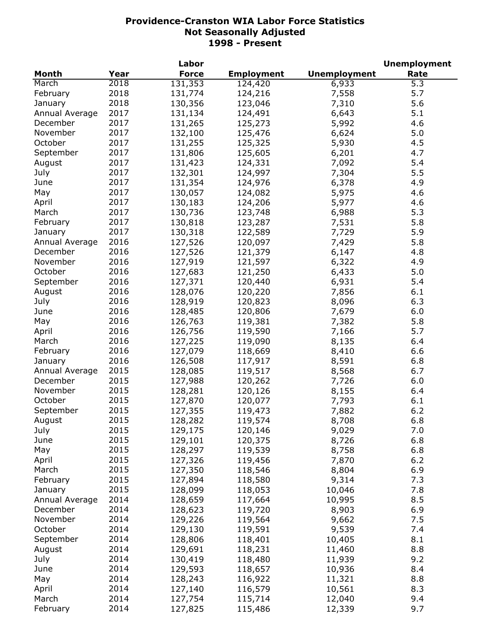|                |      | Labor        |                   |                     | <b>Unemployment</b> |
|----------------|------|--------------|-------------------|---------------------|---------------------|
| <b>Month</b>   | Year | <b>Force</b> | <b>Employment</b> | <b>Unemployment</b> | Rate                |
| March          | 2018 | 131,353      | 124,420           | 6,933               | 5.3                 |
| February       | 2018 | 131,774      | 124,216           | 7,558               | 5.7                 |
| January        | 2018 | 130,356      | 123,046           | 7,310               | 5.6                 |
| Annual Average | 2017 | 131,134      | 124,491           | 6,643               | 5.1                 |
| December       | 2017 | 131,265      | 125,273           | 5,992               | 4.6                 |
| November       | 2017 | 132,100      | 125,476           | 6,624               | 5.0                 |
| October        | 2017 | 131,255      | 125,325           | 5,930               | 4.5                 |
| September      | 2017 | 131,806      | 125,605           | 6,201               | 4.7                 |
| August         | 2017 | 131,423      | 124,331           | 7,092               | 5.4                 |
| July           | 2017 | 132,301      | 124,997           | 7,304               | 5.5                 |
| June           | 2017 | 131,354      | 124,976           | 6,378               | 4.9                 |
| May            | 2017 | 130,057      | 124,082           | 5,975               | 4.6                 |
| April          | 2017 | 130,183      | 124,206           | 5,977               | 4.6                 |
| March          | 2017 | 130,736      | 123,748           | 6,988               | 5.3                 |
| February       | 2017 | 130,818      | 123,287           | 7,531               | 5.8                 |
| January        | 2017 | 130,318      | 122,589           | 7,729               | 5.9                 |
| Annual Average | 2016 | 127,526      | 120,097           | 7,429               | 5.8                 |
| December       | 2016 |              |                   |                     | 4.8                 |
| November       | 2016 | 127,526      | 121,379           | 6,147               |                     |
|                |      | 127,919      | 121,597           | 6,322               | 4.9                 |
| October        | 2016 | 127,683      | 121,250           | 6,433               | 5.0                 |
| September      | 2016 | 127,371      | 120,440           | 6,931               | 5.4                 |
| August         | 2016 | 128,076      | 120,220           | 7,856               | 6.1                 |
| July           | 2016 | 128,919      | 120,823           | 8,096               | 6.3                 |
| June           | 2016 | 128,485      | 120,806           | 7,679               | 6.0                 |
| May            | 2016 | 126,763      | 119,381           | 7,382               | 5.8                 |
| April          | 2016 | 126,756      | 119,590           | 7,166               | 5.7                 |
| March          | 2016 | 127,225      | 119,090           | 8,135               | 6.4                 |
| February       | 2016 | 127,079      | 118,669           | 8,410               | 6.6                 |
| January        | 2016 | 126,508      | 117,917           | 8,591               | 6.8                 |
| Annual Average | 2015 | 128,085      | 119,517           | 8,568               | 6.7                 |
| December       | 2015 | 127,988      | 120,262           | 7,726               | 6.0                 |
| November       | 2015 | 128,281      | 120,126           | 8,155               | 6.4                 |
| October        | 2015 | 127,870      | 120,077           | 7,793               | 6.1                 |
| September      | 2015 | 127,355      | 119,473           | 7,882               | 6.2                 |
| August         | 2015 | 128,282      | 119,574           | 8,708               | 6.8                 |
| July           | 2015 | 129,175      | 120,146           | 9,029               | 7.0                 |
| June           | 2015 | 129,101      | 120,375           | 8,726               | 6.8                 |
| May            | 2015 | 128,297      | 119,539           | 8,758               | 6.8                 |
| April          | 2015 | 127,326      | 119,456           | 7,870               | $6.2$               |
| March          | 2015 | 127,350      | 118,546           | 8,804               | 6.9                 |
| February       | 2015 | 127,894      | 118,580           | 9,314               | 7.3                 |
| January        | 2015 | 128,099      | 118,053           | 10,046              | 7.8                 |
| Annual Average | 2014 | 128,659      | 117,664           | 10,995              | 8.5                 |
| December       | 2014 | 128,623      | 119,720           | 8,903               | 6.9                 |
| November       | 2014 | 129,226      | 119,564           | 9,662               | 7.5                 |
| October        | 2014 | 129,130      | 119,591           | 9,539               | 7.4                 |
| September      | 2014 | 128,806      | 118,401           | 10,405              | 8.1                 |
| August         | 2014 | 129,691      | 118,231           | 11,460              | 8.8                 |
| July           | 2014 | 130,419      | 118,480           | 11,939              | 9.2                 |
| June           | 2014 | 129,593      | 118,657           | 10,936              | 8.4                 |
| May            | 2014 | 128,243      | 116,922           | 11,321              | 8.8                 |
| April          | 2014 | 127,140      | 116,579           | 10,561              | 8.3                 |
| March          | 2014 | 127,754      | 115,714           | 12,040              | 9.4                 |
| February       | 2014 | 127,825      | 115,486           | 12,339              | 9.7                 |
|                |      |              |                   |                     |                     |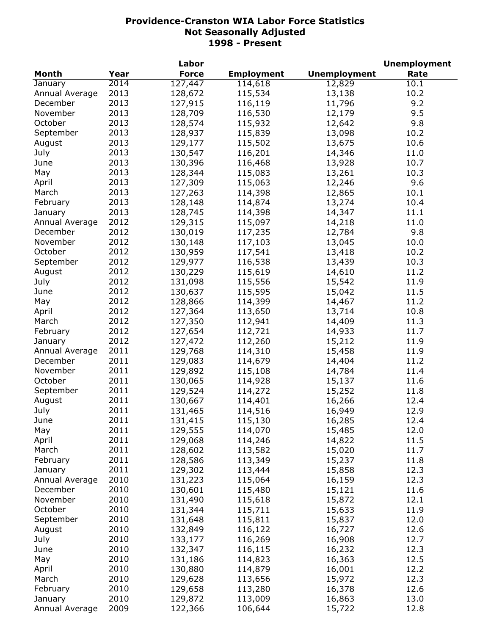|                |      | Labor        |                   |                     | <b>Unemployment</b> |
|----------------|------|--------------|-------------------|---------------------|---------------------|
| <b>Month</b>   | Year | <b>Force</b> | <b>Employment</b> | <b>Unemployment</b> | Rate                |
| January        | 2014 | 127, 447     | 114,618           | 12,829              | 10.1                |
| Annual Average | 2013 | 128,672      | 115,534           | 13,138              | 10.2                |
| December       | 2013 | 127,915      | 116,119           | 11,796              | 9.2                 |
| November       | 2013 | 128,709      | 116,530           | 12,179              | 9.5                 |
| October        | 2013 | 128,574      | 115,932           | 12,642              | 9.8                 |
| September      | 2013 | 128,937      | 115,839           | 13,098              | 10.2                |
| August         | 2013 | 129,177      | 115,502           | 13,675              | 10.6                |
| July           | 2013 | 130,547      | 116,201           | 14,346              | 11.0                |
| June           | 2013 | 130,396      | 116,468           | 13,928              | 10.7                |
| May            | 2013 | 128,344      | 115,083           | 13,261              | 10.3                |
| April          | 2013 | 127,309      | 115,063           | 12,246              | 9.6                 |
| March          | 2013 | 127,263      | 114,398           | 12,865              | 10.1                |
| February       | 2013 | 128,148      | 114,874           | 13,274              | 10.4                |
| January        | 2013 | 128,745      | 114,398           | 14,347              | 11.1                |
| Annual Average | 2012 | 129,315      | 115,097           | 14,218              | 11.0                |
| December       | 2012 | 130,019      | 117,235           | 12,784              | 9.8                 |
| November       | 2012 | 130,148      | 117,103           | 13,045              | 10.0                |
| October        | 2012 |              |                   |                     |                     |
|                |      | 130,959      | 117,541           | 13,418              | 10.2                |
| September      | 2012 | 129,977      | 116,538           | 13,439              | 10.3                |
| August         | 2012 | 130,229      | 115,619           | 14,610              | 11.2                |
| July           | 2012 | 131,098      | 115,556           | 15,542              | 11.9                |
| June           | 2012 | 130,637      | 115,595           | 15,042              | 11.5                |
| May            | 2012 | 128,866      | 114,399           | 14,467              | 11.2                |
| April          | 2012 | 127,364      | 113,650           | 13,714              | 10.8                |
| March          | 2012 | 127,350      | 112,941           | 14,409              | 11.3                |
| February       | 2012 | 127,654      | 112,721           | 14,933              | 11.7                |
| January        | 2012 | 127,472      | 112,260           | 15,212              | 11.9                |
| Annual Average | 2011 | 129,768      | 114,310           | 15,458              | 11.9                |
| December       | 2011 | 129,083      | 114,679           | 14,404              | 11.2                |
| November       | 2011 | 129,892      | 115,108           | 14,784              | 11.4                |
| October        | 2011 | 130,065      | 114,928           | 15,137              | 11.6                |
| September      | 2011 | 129,524      | 114,272           | 15,252              | 11.8                |
| August         | 2011 | 130,667      | 114,401           | 16,266              | 12.4                |
| July           | 2011 | 131,465      | 114,516           | 16,949              | 12.9                |
| June           | 2011 | 131,415      | 115,130           | 16,285              | 12.4                |
| May            | 2011 | 129,555      | 114,070           | 15,485              | 12.0                |
| April          | 2011 | 129,068      | 114,246           | 14,822              | 11.5                |
| March          | 2011 | 128,602      | 113,582           | 15,020              | 11.7                |
| February       | 2011 | 128,586      | 113,349           | 15,237              | 11.8                |
| January        | 2011 | 129,302      | 113,444           | 15,858              | 12.3                |
| Annual Average | 2010 | 131,223      | 115,064           | 16,159              | 12.3                |
| December       | 2010 | 130,601      | 115,480           | 15,121              | 11.6                |
| November       | 2010 | 131,490      | 115,618           | 15,872              | 12.1                |
| October        | 2010 | 131,344      | 115,711           | 15,633              | 11.9                |
| September      | 2010 | 131,648      | 115,811           | 15,837              | 12.0                |
| August         | 2010 | 132,849      | 116,122           | 16,727              | 12.6                |
| July           | 2010 | 133,177      | 116,269           | 16,908              | 12.7                |
| June           | 2010 | 132,347      | 116,115           | 16,232              | 12.3                |
| May            | 2010 | 131,186      | 114,823           | 16,363              | 12.5                |
| April          | 2010 | 130,880      | 114,879           | 16,001              | 12.2                |
| March          | 2010 | 129,628      | 113,656           | 15,972              | 12.3                |
| February       | 2010 | 129,658      | 113,280           | 16,378              | 12.6                |
| January        | 2010 | 129,872      | 113,009           | 16,863              | 13.0                |
| Annual Average | 2009 | 122,366      | 106,644           | 15,722              | 12.8                |
|                |      |              |                   |                     |                     |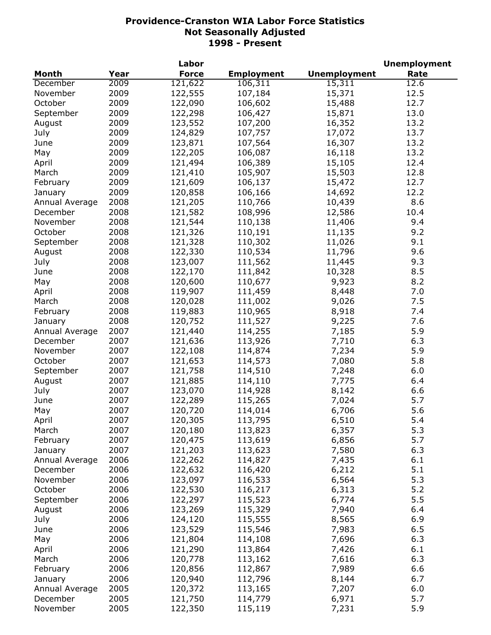|                |      | Labor        |                   |                     | <b>Unemployment</b> |
|----------------|------|--------------|-------------------|---------------------|---------------------|
| <b>Month</b>   | Year | <b>Force</b> | <b>Employment</b> | <b>Unemployment</b> | Rate                |
| December       | 2009 | 121,622      | 106,311           | 15,311              | 12.6                |
| November       | 2009 | 122,555      | 107,184           | 15,371              | 12.5                |
| October        | 2009 | 122,090      | 106,602           | 15,488              | 12.7                |
| September      | 2009 | 122,298      | 106,427           | 15,871              | 13.0                |
| August         | 2009 | 123,552      | 107,200           | 16,352              | 13.2                |
| July           | 2009 | 124,829      | 107,757           | 17,072              | 13.7                |
| June           | 2009 | 123,871      | 107,564           | 16,307              | 13.2                |
| May            | 2009 | 122,205      | 106,087           | 16,118              | 13.2                |
| April          | 2009 | 121,494      | 106,389           | 15,105              | 12.4                |
| March          | 2009 | 121,410      | 105,907           | 15,503              | 12.8                |
| February       | 2009 | 121,609      | 106,137           | 15,472              | 12.7                |
| January        | 2009 | 120,858      | 106,166           | 14,692              | 12.2                |
| Annual Average | 2008 | 121,205      | 110,766           | 10,439              | 8.6                 |
| December       | 2008 | 121,582      | 108,996           | 12,586              | 10.4                |
| November       | 2008 | 121,544      | 110,138           | 11,406              | 9.4                 |
|                |      |              |                   |                     |                     |
| October        | 2008 | 121,326      | 110,191           | 11,135              | 9.2                 |
| September      | 2008 | 121,328      | 110,302           | 11,026              | 9.1                 |
| August         | 2008 | 122,330      | 110,534           | 11,796              | 9.6                 |
| July           | 2008 | 123,007      | 111,562           | 11,445              | 9.3                 |
| June           | 2008 | 122,170      | 111,842           | 10,328              | 8.5                 |
| May            | 2008 | 120,600      | 110,677           | 9,923               | 8.2                 |
| April          | 2008 | 119,907      | 111,459           | 8,448               | 7.0                 |
| March          | 2008 | 120,028      | 111,002           | 9,026               | 7.5                 |
| February       | 2008 | 119,883      | 110,965           | 8,918               | 7.4                 |
| January        | 2008 | 120,752      | 111,527           | 9,225               | 7.6                 |
| Annual Average | 2007 | 121,440      | 114,255           | 7,185               | 5.9                 |
| December       | 2007 | 121,636      | 113,926           | 7,710               | 6.3                 |
| November       | 2007 | 122,108      | 114,874           | 7,234               | 5.9                 |
| October        | 2007 | 121,653      | 114,573           | 7,080               | 5.8                 |
| September      | 2007 | 121,758      | 114,510           | 7,248               | 6.0                 |
| August         | 2007 | 121,885      | 114,110           | 7,775               | 6.4                 |
| July           | 2007 | 123,070      | 114,928           | 8,142               | 6.6                 |
| June           | 2007 | 122,289      | 115,265           | 7,024               | 5.7                 |
| May            | 2007 | 120,720      | 114,014           | 6,706               | 5.6                 |
| April          | 2007 | 120,305      | 113,795           | 6,510               | 5.4                 |
| March          | 2007 | 120,180      | 113,823           | 6,357               | 5.3                 |
| February       | 2007 | 120,475      | 113,619           | 6,856               | 5.7                 |
| January        | 2007 | 121,203      | 113,623           | 7,580               | 6.3                 |
| Annual Average | 2006 | 122,262      | 114,827           | 7,435               | 6.1                 |
| December       | 2006 | 122,632      | 116,420           | 6,212               | 5.1                 |
| November       | 2006 | 123,097      | 116,533           | 6,564               | 5.3                 |
| October        | 2006 | 122,530      | 116,217           | 6,313               | 5.2                 |
| September      | 2006 | 122,297      | 115,523           | 6,774               | 5.5                 |
| August         | 2006 | 123,269      | 115,329           | 7,940               | 6.4                 |
| July           | 2006 | 124,120      | 115,555           | 8,565               | 6.9                 |
| June           | 2006 | 123,529      | 115,546           | 7,983               | 6.5                 |
|                | 2006 | 121,804      |                   | 7,696               | 6.3                 |
| May            |      |              | 114,108           |                     |                     |
| April          | 2006 | 121,290      | 113,864           | 7,426               | 6.1                 |
| March          | 2006 | 120,778      | 113,162           | 7,616               | 6.3                 |
| February       | 2006 | 120,856      | 112,867           | 7,989               | 6.6                 |
| January        | 2006 | 120,940      | 112,796           | 8,144               | 6.7                 |
| Annual Average | 2005 | 120,372      | 113,165           | 7,207               | 6.0                 |
| December       | 2005 | 121,750      | 114,779           | 6,971               | 5.7                 |
| November       | 2005 | 122,350      | 115,119           | 7,231               | 5.9                 |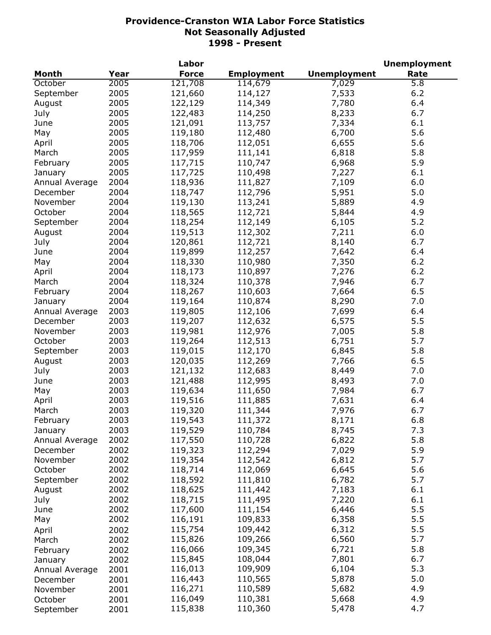|                |      | Labor        |                   |                     | <b>Unemployment</b> |
|----------------|------|--------------|-------------------|---------------------|---------------------|
| Month          | Year | <b>Force</b> | <b>Employment</b> | <b>Unemployment</b> | Rate                |
| October        | 2005 | 121,708      | 114,679           | 7,029               | $\overline{5.8}$    |
| September      | 2005 | 121,660      | 114,127           | 7,533               | 6.2                 |
| August         | 2005 | 122,129      | 114,349           | 7,780               | 6.4                 |
| July           | 2005 | 122,483      | 114,250           | 8,233               | 6.7                 |
| June           | 2005 | 121,091      | 113,757           | 7,334               | 6.1                 |
| May            | 2005 | 119,180      | 112,480           | 6,700               | 5.6                 |
| April          | 2005 | 118,706      | 112,051           | 6,655               | 5.6                 |
| March          | 2005 | 117,959      | 111,141           | 6,818               | 5.8                 |
| February       | 2005 | 117,715      | 110,747           | 6,968               | 5.9                 |
| January        | 2005 | 117,725      | 110,498           | 7,227               | 6.1                 |
| Annual Average | 2004 | 118,936      | 111,827           | 7,109               | 6.0                 |
| December       | 2004 | 118,747      | 112,796           | 5,951               | 5.0                 |
| November       | 2004 | 119,130      | 113,241           | 5,889               | 4.9                 |
| October        | 2004 | 118,565      | 112,721           | 5,844               | 4.9                 |
| September      | 2004 | 118,254      | 112,149           | 6,105               | 5.2                 |
|                | 2004 | 119,513      | 112,302           | 7,211               | 6.0                 |
| August         | 2004 |              |                   |                     | 6.7                 |
| July           |      | 120,861      | 112,721           | 8,140               |                     |
| June           | 2004 | 119,899      | 112,257           | 7,642               | 6.4                 |
| May            | 2004 | 118,330      | 110,980           | 7,350               | 6.2                 |
| April          | 2004 | 118,173      | 110,897           | 7,276               | 6.2                 |
| March          | 2004 | 118,324      | 110,378           | 7,946               | 6.7                 |
| February       | 2004 | 118,267      | 110,603           | 7,664               | 6.5                 |
| January        | 2004 | 119,164      | 110,874           | 8,290               | 7.0                 |
| Annual Average | 2003 | 119,805      | 112,106           | 7,699               | 6.4                 |
| December       | 2003 | 119,207      | 112,632           | 6,575               | 5.5                 |
| November       | 2003 | 119,981      | 112,976           | 7,005               | 5.8                 |
| October        | 2003 | 119,264      | 112,513           | 6,751               | 5.7                 |
| September      | 2003 | 119,015      | 112,170           | 6,845               | 5.8                 |
| August         | 2003 | 120,035      | 112,269           | 7,766               | 6.5                 |
| July           | 2003 | 121,132      | 112,683           | 8,449               | 7.0                 |
| June           | 2003 | 121,488      | 112,995           | 8,493               | 7.0                 |
| May            | 2003 | 119,634      | 111,650           | 7,984               | 6.7                 |
| April          | 2003 | 119,516      | 111,885           | 7,631               | 6.4                 |
| March          | 2003 | 119,320      | 111,344           | 7,976               | 6.7                 |
| February       | 2003 | 119,543      | 111,372           | 8,171               | 6.8                 |
| January        | 2003 | 119,529      | 110,784           | 8,745               | 7.3                 |
| Annual Average | 2002 | 117,550      | 110,728           | 6,822               | 5.8                 |
| December       | 2002 | 119,323      | 112,294           | 7,029               | 5.9                 |
| November       | 2002 | 119,354      | 112,542           | 6,812               | 5.7                 |
| October        | 2002 | 118,714      | 112,069           | 6,645               | 5.6                 |
| September      | 2002 | 118,592      | 111,810           | 6,782               | 5.7                 |
| August         | 2002 | 118,625      | 111,442           | 7,183               | 6.1                 |
| July           | 2002 | 118,715      | 111,495           | 7,220               | 6.1                 |
| June           | 2002 | 117,600      | 111,154           | 6,446               | 5.5                 |
| May            | 2002 | 116,191      | 109,833           | 6,358               | 5.5                 |
| April          | 2002 | 115,754      | 109,442           | 6,312               | 5.5                 |
| March          | 2002 | 115,826      | 109,266           | 6,560               | 5.7                 |
|                | 2002 | 116,066      | 109,345           | 6,721               | 5.8                 |
| February       | 2002 | 115,845      | 108,044           | 7,801               | 6.7                 |
| January        |      | 116,013      | 109,909           | 6,104               | 5.3                 |
| Annual Average | 2001 | 116,443      | 110,565           | 5,878               | 5.0                 |
| December       | 2001 |              | 110,589           | 5,682               | 4.9                 |
| November       | 2001 | 116,271      |                   |                     | 4.9                 |
| October        | 2001 | 116,049      | 110,381           | 5,668               |                     |
| September      | 2001 | 115,838      | 110,360           | 5,478               | 4.7                 |